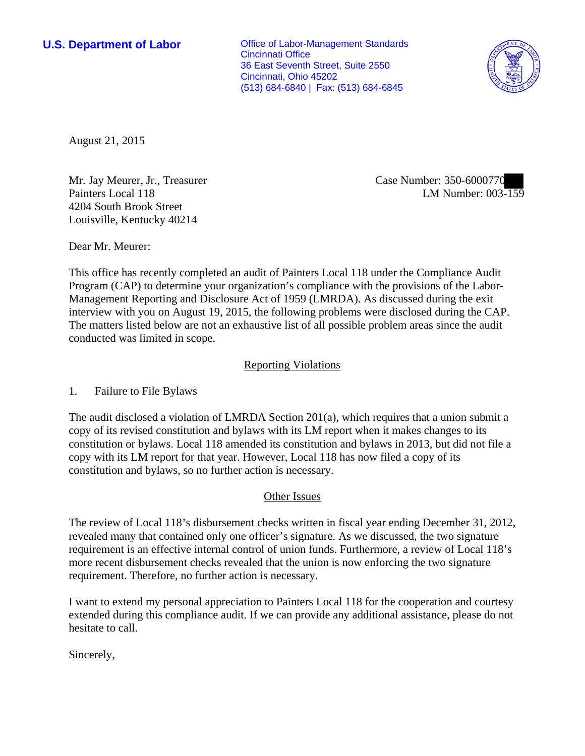**U.S. Department of Labor Conservative Conservative Conservative Conservative Conservative Conservative Conservative Conservative Conservative Conservative Conservative Conservative Conservative Conservative Conservative** Cincinnati Office 36 East Seventh Street, Suite 2550 Cincinnati, Ohio 45202 (513) 684-6840 | Fax: (513) 684-6845



August 21, 2015

Mr. Jay Meurer, Jr., Treasurer Painters Local 118 4204 South Brook Street Louisville, Kentucky 40214

Case Number: 350-6000770 LM Number: 003-159

Dear Mr. Meurer:

This office has recently completed an audit of Painters Local 118 under the Compliance Audit Program (CAP) to determine your organization's compliance with the provisions of the Labor-Management Reporting and Disclosure Act of 1959 (LMRDA). As discussed during the exit interview with you on August 19, 2015, the following problems were disclosed during the CAP. The matters listed below are not an exhaustive list of all possible problem areas since the audit conducted was limited in scope.

## Reporting Violations

1. Failure to File Bylaws

The audit disclosed a violation of LMRDA Section 201(a), which requires that a union submit a copy of its revised constitution and bylaws with its LM report when it makes changes to its constitution or bylaws. Local 118 amended its constitution and bylaws in 2013, but did not file a copy with its LM report for that year. However, Local 118 has now filed a copy of its constitution and bylaws, so no further action is necessary.

## Other Issues

The review of Local 118's disbursement checks written in fiscal year ending December 31, 2012, revealed many that contained only one officer's signature. As we discussed, the two signature requirement is an effective internal control of union funds. Furthermore, a review of Local 118's more recent disbursement checks revealed that the union is now enforcing the two signature requirement. Therefore, no further action is necessary.

I want to extend my personal appreciation to Painters Local 118 for the cooperation and courtesy extended during this compliance audit. If we can provide any additional assistance, please do not hesitate to call.

Sincerely,